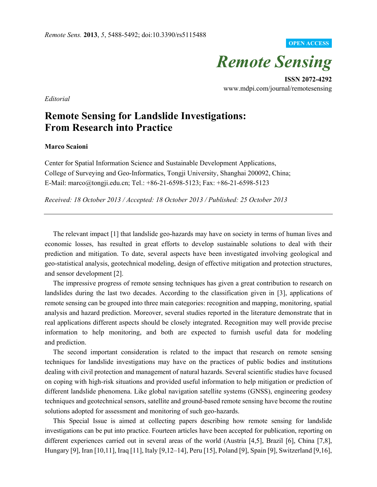## **OPEN ACCESS**



**ISSN 2072-4292**  www.mdpi.com/journal/remotesensing

*Editorial* 

## **Remote Sensing for Landslide Investigations: From Research into Practice**

## **Marco Scaioni**

Center for Spatial Information Science and Sustainable Development Applications, College of Surveying and Geo-Informatics, Tongji University, Shanghai 200092, China; E-Mail: marco@tongji.edu.cn; Tel.: +86-21-6598-5123; Fax: +86-21-6598-5123

*Received: 18 October 2013 / Accepted: 18 October 2013 / Published: 25 October 2013* 

The relevant impact [1] that landslide geo-hazards may have on society in terms of human lives and economic losses, has resulted in great efforts to develop sustainable solutions to deal with their prediction and mitigation. To date, several aspects have been investigated involving geological and geo-statistical analysis, geotechnical modeling, design of effective mitigation and protection structures, and sensor development [2].

The impressive progress of remote sensing techniques has given a great contribution to research on landslides during the last two decades. According to the classification given in [3], applications of remote sensing can be grouped into three main categories: recognition and mapping, monitoring, spatial analysis and hazard prediction. Moreover, several studies reported in the literature demonstrate that in real applications different aspects should be closely integrated. Recognition may well provide precise information to help monitoring, and both are expected to furnish useful data for modeling and prediction.

The second important consideration is related to the impact that research on remote sensing techniques for landslide investigations may have on the practices of public bodies and institutions dealing with civil protection and management of natural hazards. Several scientific studies have focused on coping with high-risk situations and provided useful information to help mitigation or prediction of different landslide phenomena. Like global navigation satellite systems (GNSS), engineering geodesy techniques and geotechnical sensors, satellite and ground-based remote sensing have become the routine solutions adopted for assessment and monitoring of such geo-hazards.

This Special Issue is aimed at collecting papers describing how remote sensing for landslide investigations can be put into practice. Fourteen articles have been accepted for publication, reporting on different experiences carried out in several areas of the world (Austria [4,5], Brazil [6], China [7,8], Hungary [9], Iran [10,11], Iraq [11], Italy [9,12–14], Peru [15], Poland [9], Spain [9], Switzerland [9,16],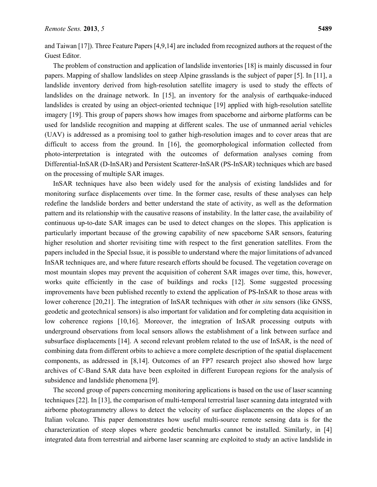and Taiwan [17]). Three Feature Papers [4,9,14] are included from recognized authors at the request of the Guest Editor.

The problem of construction and application of landslide inventories [18] is mainly discussed in four papers. Mapping of shallow landslides on steep Alpine grasslands is the subject of paper [5]. In [11], a landslide inventory derived from high-resolution satellite imagery is used to study the effects of landslides on the drainage network. In [15], an inventory for the analysis of earthquake-induced landslides is created by using an object-oriented technique [19] applied with high-resolution satellite imagery [19]. This group of papers shows how images from spaceborne and airborne platforms can be used for landslide recognition and mapping at different scales. The use of unmanned aerial vehicles (UAV) is addressed as a promising tool to gather high-resolution images and to cover areas that are difficult to access from the ground. In [16], the geomorphological information collected from photo-interpretation is integrated with the outcomes of deformation analyses coming from Differential-InSAR (D-InSAR) and Persistent Scatterer-InSAR (PS-InSAR) techniques which are based on the processing of multiple SAR images.

InSAR techniques have also been widely used for the analysis of existing landslides and for monitoring surface displacements over time. In the former case, results of these analyses can help redefine the landslide borders and better understand the state of activity, as well as the deformation pattern and its relationship with the causative reasons of instability. In the latter case, the availability of continuous up-to-date SAR images can be used to detect changes on the slopes. This application is particularly important because of the growing capability of new spaceborne SAR sensors, featuring higher resolution and shorter revisiting time with respect to the first generation satellites. From the papers included in the Special Issue, it is possible to understand where the major limitations of advanced InSAR techniques are, and where future research efforts should be focused. The vegetation coverage on most mountain slopes may prevent the acquisition of coherent SAR images over time, this, however, works quite efficiently in the case of buildings and rocks [12]. Some suggested processing improvements have been published recently to extend the application of PS-InSAR to those areas with lower coherence [20,21]. The integration of InSAR techniques with other *in situ* sensors (like GNSS, geodetic and geotechnical sensors) is also important for validation and for completing data acquisition in low coherence regions [10,16]. Moreover, the integration of InSAR processing outputs with underground observations from local sensors allows the establishment of a link between surface and subsurface displacements [14]. A second relevant problem related to the use of InSAR, is the need of combining data from different orbits to achieve a more complete description of the spatial displacement components, as addressed in [8,14]. Outcomes of an FP7 research project also showed how large archives of C-Band SAR data have been exploited in different European regions for the analysis of subsidence and landslide phenomena [9].

The second group of papers concerning monitoring applications is based on the use of laser scanning techniques [22]. In [13], the comparison of multi-temporal terrestrial laser scanning data integrated with airborne photogrammetry allows to detect the velocity of surface displacements on the slopes of an Italian volcano. This paper demonstrates how useful multi-source remote sensing data is for the characterization of steep slopes where geodetic benchmarks cannot be installed. Similarly, in [4] integrated data from terrestrial and airborne laser scanning are exploited to study an active landslide in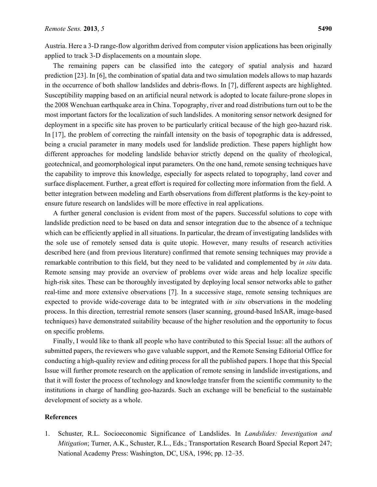Austria. Here a 3-D range-flow algorithm derived from computer vision applications has been originally applied to track 3-D displacements on a mountain slope.

The remaining papers can be classified into the category of spatial analysis and hazard prediction [23]. In [6], the combination of spatial data and two simulation models allows to map hazards in the occurrence of both shallow landslides and debris-flows. In [7], different aspects are highlighted. Susceptibility mapping based on an artificial neural network is adopted to locate failure-prone slopes in the 2008 Wenchuan earthquake area in China. Topography, river and road distributions turn out to be the most important factors for the localization of such landslides. A monitoring sensor network designed for deployment in a specific site has proven to be particularly critical because of the high geo-hazard risk. In [17], the problem of correcting the rainfall intensity on the basis of topographic data is addressed, being a crucial parameter in many models used for landslide prediction. These papers highlight how different approaches for modeling landslide behavior strictly depend on the quality of rheological, geotechnical, and geomorphological input parameters. On the one hand, remote sensing techniques have the capability to improve this knowledge, especially for aspects related to topography, land cover and surface displacement. Further, a great effort is required for collecting more information from the field. A better integration between modeling and Earth observations from different platforms is the key-point to ensure future research on landslides will be more effective in real applications.

A further general conclusion is evident from most of the papers. Successful solutions to cope with landslide prediction need to be based on data and sensor integration due to the absence of a technique which can be efficiently applied in all situations. In particular, the dream of investigating landslides with the sole use of remotely sensed data is quite utopic. However, many results of research activities described here (and from previous literature) confirmed that remote sensing techniques may provide a remarkable contribution to this field, but they need to be validated and complemented by *in situ* data. Remote sensing may provide an overview of problems over wide areas and help localize specific high-risk sites. These can be thoroughly investigated by deploying local sensor networks able to gather real-time and more extensive observations [7]. In a successive stage, remote sensing techniques are expected to provide wide-coverage data to be integrated with *in situ* observations in the modeling process. In this direction, terrestrial remote sensors (laser scanning, ground-based InSAR, image-based techniques) have demonstrated suitability because of the higher resolution and the opportunity to focus on specific problems.

Finally, I would like to thank all people who have contributed to this Special Issue: all the authors of submitted papers, the reviewers who gave valuable support, and the Remote Sensing Editorial Office for conducting a high-quality review and editing process for all the published papers. I hope that this Special Issue will further promote research on the application of remote sensing in landslide investigations, and that it will foster the process of technology and knowledge transfer from the scientific community to the institutions in charge of handling geo-hazards. Such an exchange will be beneficial to the sustainable development of society as a whole.

## **References**

1. Schuster, R.L. Socioeconomic Significance of Landslides. In *Landslides: Investigation and Mitigation*; Turner, A.K., Schuster, R.L., Eds.; Transportation Research Board Special Report 247; National Academy Press: Washington, DC, USA, 1996; pp. 12–35.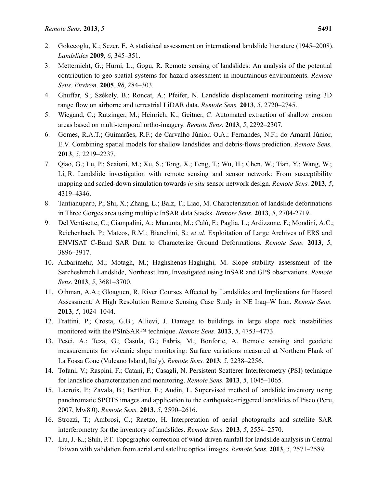- 2. Gokceoglu, K.; Sezer, E. A statistical assessment on international landslide literature (1945–2008). *Landslides* **2009**, *6*, 345–351.
- 3. Metternicht, G.; Hurni, L.; Gogu, R. Remote sensing of landslides: An analysis of the potential contribution to geo-spatial systems for hazard assessment in mountainous environments. *Remote Sens. Environ*. **2005**, *98*, 284–303.
- 4. Ghuffar, S.; Székely, B.; Roncat, A.; Pfeifer, N. Landslide displacement monitoring using 3D range flow on airborne and terrestrial LiDAR data. *Remote Sens.* **2013**, *5*, 2720–2745.
- 5. Wiegand, C.; Rutzinger, M.; Heinrich, K.; Geitner, C. Automated extraction of shallow erosion areas based on multi-temporal ortho-imagery. *Remote Sens*. **2013**, *5*, 2292–2307.
- 6. Gomes, R.A.T.; Guimarães, R.F.; de Carvalho Júnior, O.A.; Fernandes, N.F.; do Amaral Júnior, E.V. Combining spatial models for shallow landslides and debris-flows prediction. *Remote Sens.* **2013**, *5*, 2219–2237.
- 7. Qiao, G.; Lu, P.; Scaioni, M.; Xu, S.; Tong, X.; Feng, T.; Wu, H.; Chen, W.; Tian, Y.; Wang, W.; Li, R. Landslide investigation with remote sensing and sensor network: From susceptibility mapping and scaled-down simulation towards *in situ* sensor network design. *Remote Sens.* **2013**, *5*, 4319–4346.
- 8. Tantianuparp, P.; Shi, X.; Zhang, L.; Balz, T.; Liao, M. Characterization of landslide deformations in Three Gorges area using multiple InSAR data Stacks. *Remote Sens.* **2013**, *5*, 2704-2719.
- 9. Del Ventisette, C.; Ciampalini, A.; Manunta, M.; Calò, F.; Paglia, L.; Ardizzone, F.; Mondini, A.C.; Reichenbach, P.; Mateos, R.M.; Bianchini, S.; *et al*. Exploitation of Large Archives of ERS and ENVISAT C-Band SAR Data to Characterize Ground Deformations. *Remote Sens.* **2013**, *5*, 3896–3917.
- 10. Akbarimehr, M.; Motagh, M.; Haghshenas-Haghighi, M. Slope stability assessment of the Sarcheshmeh Landslide, Northeast Iran, Investigated using InSAR and GPS observations. *Remote Sens.* **2013**, *5*, 3681–3700.
- 11. Othman, A.A.; Gloaguen, R. River Courses Affected by Landslides and Implications for Hazard Assessment: A High Resolution Remote Sensing Case Study in NE Iraq–W Iran. *Remote Sens.* **2013**, *5*, 1024–1044.
- 12. Frattini, P.; Crosta, G.B.; Allievi, J. Damage to buildings in large slope rock instabilities monitored with the PSInSAR™ technique. *Remote Sens*. **2013**, *5*, 4753–4773.
- 13. Pesci, A.; Teza, G.; Casula, G.; Fabris, M.; Bonforte, A. Remote sensing and geodetic measurements for volcanic slope monitoring: Surface variations measured at Northern Flank of La Fossa Cone (Vulcano Island, Italy). *Remote Sens.* **2013**, *5*, 2238–2256.
- 14. Tofani, V.; Raspini, F.; Catani, F.; Casagli, N. Persistent Scatterer Interferometry (PSI) technique for landslide characterization and monitoring. *Remote Sens.* **2013**, *5*, 1045–1065.
- 15. Lacroix, P.; Zavala, B.; Berthier, E.; Audin, L. Supervised method of landslide inventory using panchromatic SPOT5 images and application to the earthquake-triggered landslides of Pisco (Peru, 2007, Mw8.0). *Remote Sens.* **2013**, *5*, 2590–2616.
- 16. Strozzi, T.; Ambrosi, C.; Raetzo, H. Interpretation of aerial photographs and satellite SAR interferometry for the inventory of landslides. *Remote Sens.* **2013**, *5*, 2554–2570.
- 17. Liu, J.-K.; Shih, P.T. Topographic correction of wind-driven rainfall for landslide analysis in Central Taiwan with validation from aerial and satellite optical images. *Remote Sens.* **2013**, *5*, 2571–2589.